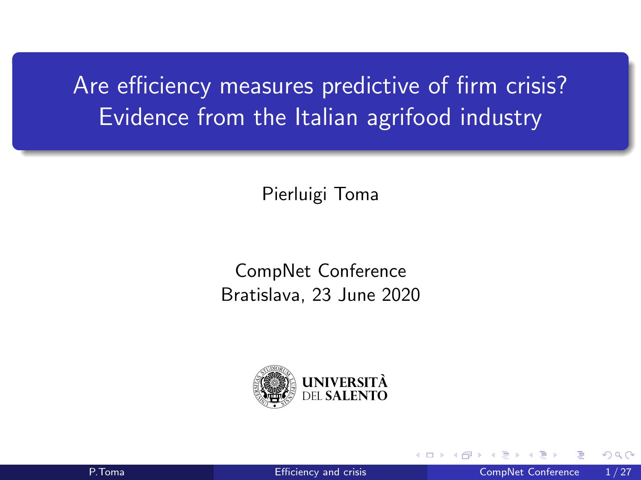<span id="page-0-0"></span>Are efficiency measures predictive of firm crisis? Evidence from the Italian agrifood industry

Pierluigi Toma

CompNet Conference Bratislava, 23 June 2020

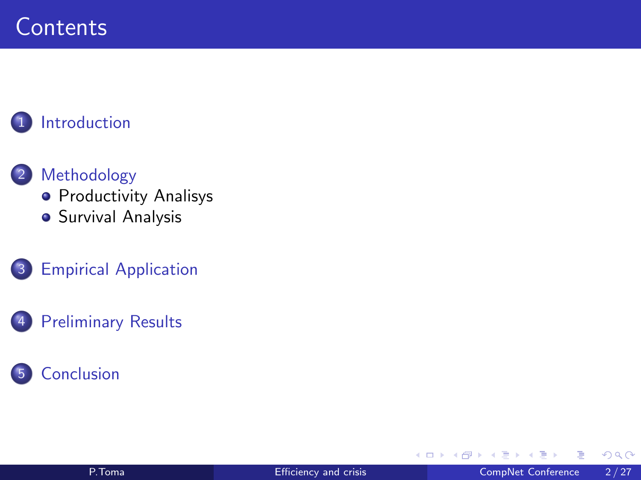## **Contents**

#### **[Introduction](#page-2-0)**

#### 2 [Methodology](#page-6-0)

- **[Productivity Analisys](#page-7-0)**
- **•** [Survival Analysis](#page-11-0)
- 3 [Empirical Application](#page-16-0)

#### [Preliminary Results](#page-22-0)

#### **[Conclusion](#page-30-0)**

4 D F ∢●● ∍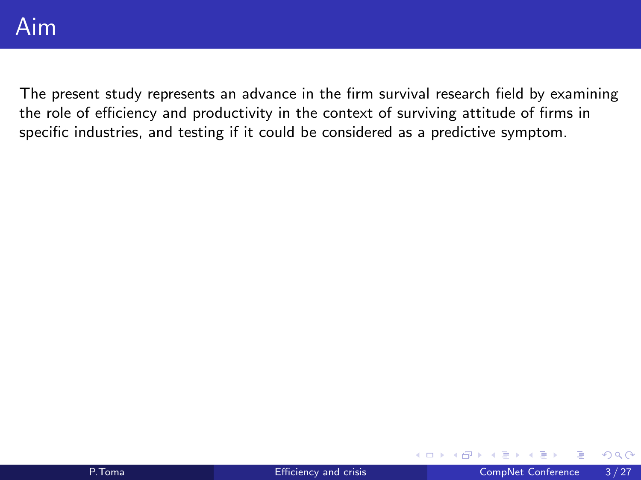<span id="page-2-0"></span>The present study represents an advance in the firm survival research field by examining the role of efficiency and productivity in the context of surviving attitude of firms in specific industries, and testing if it could be considered as a predictive symptom.

4 0 F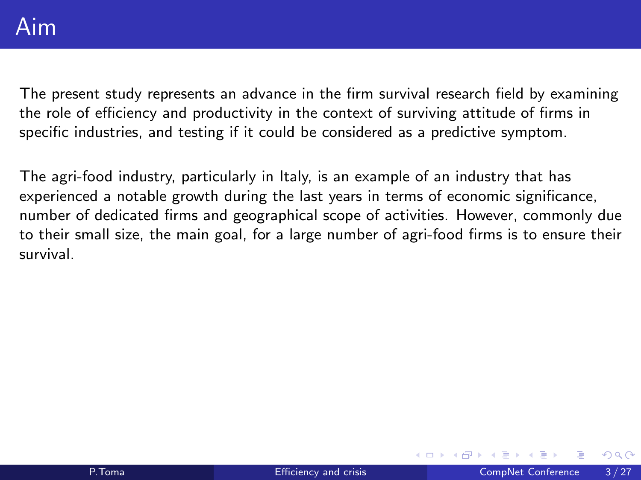The present study represents an advance in the firm survival research field by examining the role of efficiency and productivity in the context of surviving attitude of firms in specific industries, and testing if it could be considered as a predictive symptom.

The agri-food industry, particularly in Italy, is an example of an industry that has experienced a notable growth during the last years in terms of economic significance, number of dedicated firms and geographical scope of activities. However, commonly due to their small size, the main goal, for a large number of agri-food firms is to ensure their survival.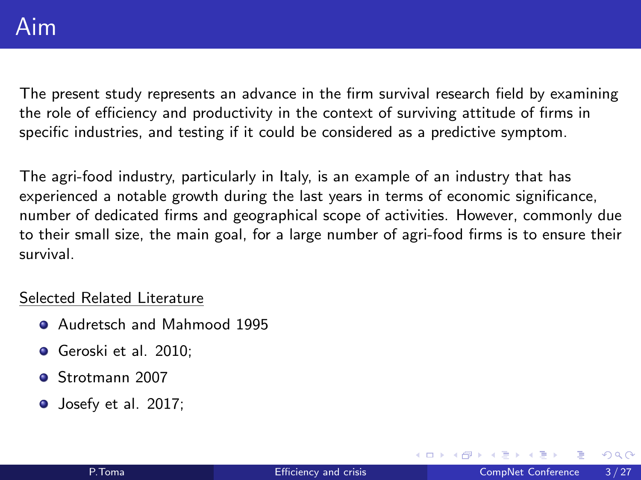The present study represents an advance in the firm survival research field by examining the role of efficiency and productivity in the context of surviving attitude of firms in specific industries, and testing if it could be considered as a predictive symptom.

The agri-food industry, particularly in Italy, is an example of an industry that has experienced a notable growth during the last years in terms of economic significance, number of dedicated firms and geographical scope of activities. However, commonly due to their small size, the main goal, for a large number of agri-food firms is to ensure their survival.

#### Selected Related Literature

- **Audretsch and Mahmood 1995**
- Geroski et al. 2010:
- Strotmann 2007
- **Josefy et al. 2017;**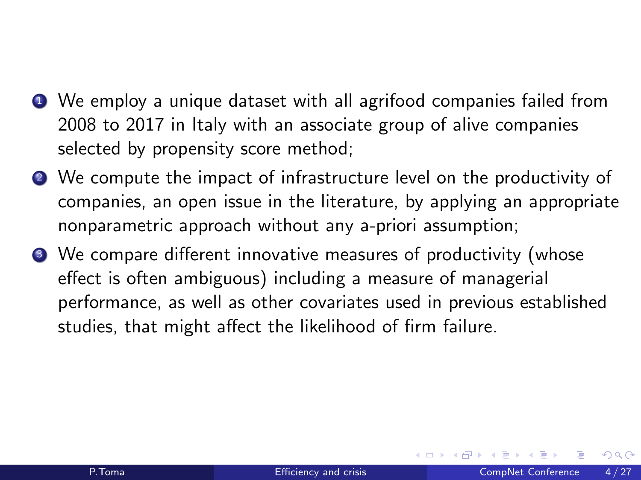- **•** We employ a unique dataset with all agrifood companies failed from 2008 to 2017 in Italy with an associate group of alive companies selected by propensity score method;
- <sup>2</sup> We compute the impact of infrastructure level on the productivity of companies, an open issue in the literature, by applying an appropriate nonparametric approach without any a-priori assumption;
- <sup>3</sup> We compare different innovative measures of productivity (whose effect is often ambiguous) including a measure of managerial performance, as well as other covariates used in previous established studies, that might affect the likelihood of firm failure.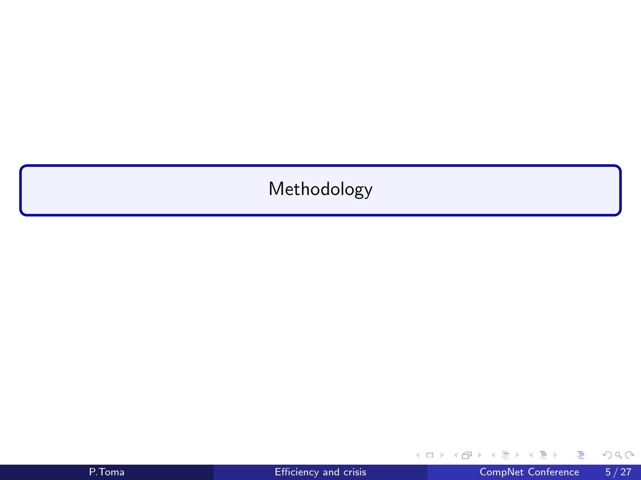### <span id="page-6-0"></span>Methodology

重

 $299$ 

イロト イ部 トイモ トイモト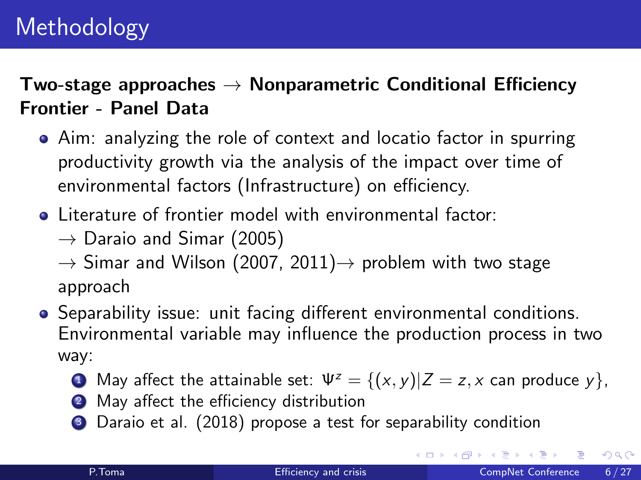<span id="page-7-0"></span>Two-stage approaches  $\rightarrow$  Nonparametric Conditional Efficiency Frontier - Panel Data

- Aim: analyzing the role of context and locatio factor in spurring productivity growth via the analysis of the impact over time of environmental factors (Infrastructure) on efficiency.
- **.** Literature of frontier model with environmental factor:
	- $\rightarrow$  Daraio and Simar (2005)

 $\rightarrow$  Simar and Wilson (2007, 2011) $\rightarrow$  problem with two stage approach

- Separability issue: unit facing different environmental conditions. Environmental variable may influence the production process in two way:
	- **1** May affect the attainable set:  $\Psi^z = \{(x, y) | Z = z, x \text{ can produce } y\},\$
	- 2 May affect the efficiency distribution
	- <sup>3</sup> Daraio et al. (2018) propose a test for separability condition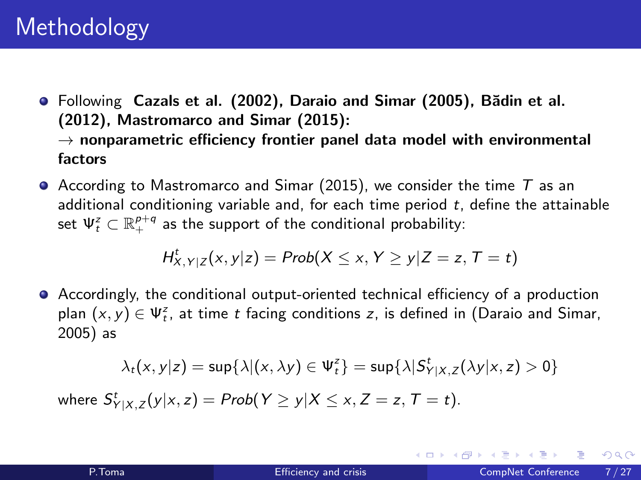- $\bullet$  Following Cazals et al. (2002), Daraio and Simar (2005), Bădin et al. (2012), Mastromarco and Simar (2015):  $\rightarrow$  nonparametric efficiency frontier panel data model with environmental factors
- $\bullet$  According to Mastromarco and Simar (2015), we consider the time  $T$  as an additional conditioning variable and, for each time period  $t$ , define the attainable set  $\Psi^{\mathsf{z}}_t \subset \mathbb{R}_{+}^{\rho+q}$  as the support of the conditional probability:

$$
H^t_{X,Y|Z}(x,y|z) = Prob(X \leq x, Y \geq y|Z=z, T=t)
$$

Accordingly, the conditional output-oriented technical efficiency of a production plan  $(x, y) \in \Psi_t^z$ , at time t facing conditions z, is defined in (Daraio and Simar, 2005) as

$$
\lambda_t(x,y|z) = \sup\{\lambda | (x,\lambda y) \in \Psi^z_t\} = \sup\{\lambda | \mathcal{S}^t_{Y|X,Z}(\lambda y|x,z) > 0\}
$$

where  $S_{Y|X,Z}^t(y|x,z) = Prob(Y \ge y|X \le x, Z = z, T = t)$ .

 $2990$ 

 $A \equiv \begin{pmatrix} 1 & 0 & 0 \\ 0 & 1 & 0 \\ 0 & 0 & 0 \end{pmatrix} \in A \Rightarrow A \equiv \begin{pmatrix} 1 & 0 & 0 \\ 0 & 1 & 0 \\ 0 & 0 & 0 \end{pmatrix} \in A$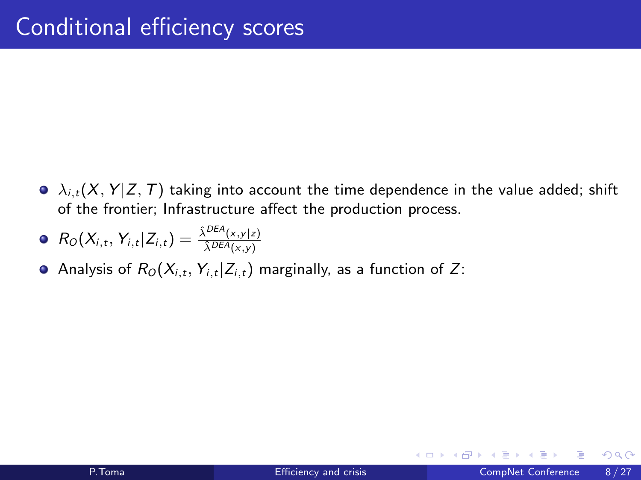$\Delta_{i,t}(X, Y | Z, T)$  taking into account the time dependence in the value added; shift of the frontier; Infrastructure affect the production process.

$$
\bullet \ \ R_O(X_{i,t},Y_{i,t}|Z_{i,t})=\tfrac{\hat{\lambda}^{DEA}(x,y|z)}{\hat{\lambda}^{DEA}(x,y)}
$$

Analysis of  $R_0(X_{i,t}, Y_{i,t}|Z_{i,t})$  marginally, as a function of Z: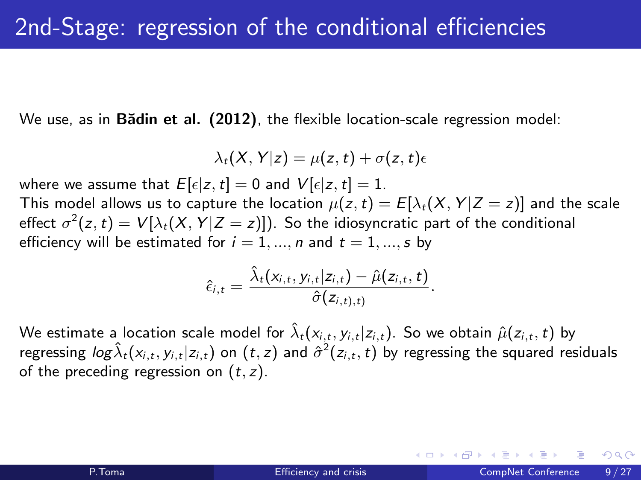We use, as in Badin et al. (2012), the flexible location-scale regression model:

$$
\lambda_t(X,Y|z) = \mu(z,t) + \sigma(z,t)\epsilon
$$

where we assume that  $E[\epsilon|z,t] = 0$  and  $V[\epsilon|z,t] = 1$ .

This model allows us to capture the location  $\mu(z,t) = E[\lambda_t(X, Y | Z = z)]$  and the scale effect  $\sigma^2(z,t)=V[\lambda_t(X,Y|Z=z)])$ . So the idiosyncratic part of the conditional efficiency will be estimated for  $i = 1, ..., n$  and  $t = 1, ..., s$  by

$$
\hat{\epsilon}_{i,t} = \frac{\hat{\lambda}_t(x_{i,t}, y_{i,t}|z_{i,t}) - \hat{\mu}(z_{i,t}, t)}{\hat{\sigma}(z_{i,t),t}}.
$$

We estimate a location scale model for  $\hat{\lambda}_t(x_{i,t}, y_{i,t}|z_{i,t})$ . So we obtain  $\hat{\mu}(z_{i,t}, t)$  by regressing  $log \hat{\lambda}_t(x_{i,t},y_{i,t}|z_{i,t})$  on  $(t,z)$  and  $\hat{\sigma}^2(z_{i,t},t)$  by regressing the squared residuals of the preceding regression on  $(t, z)$ .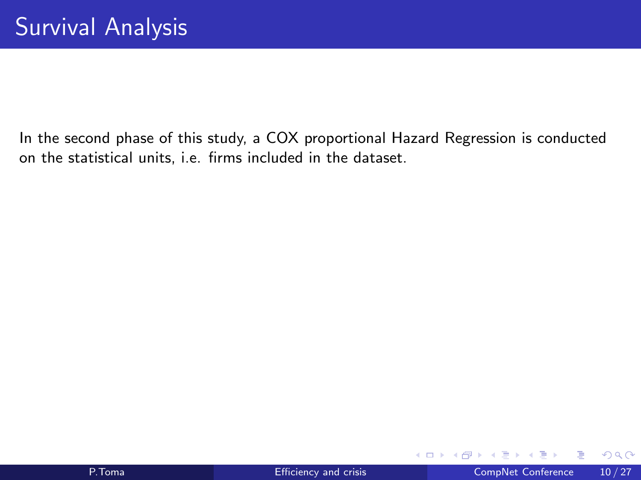<span id="page-11-0"></span>In the second phase of this study, a COX proportional Hazard Regression is conducted on the statistical units, i.e. firms included in the dataset.

∍

∢ 口 ≯ ∢ 何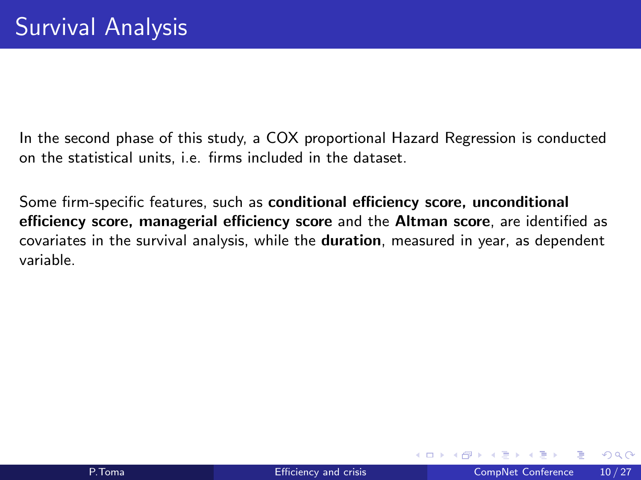In the second phase of this study, a COX proportional Hazard Regression is conducted on the statistical units, i.e. firms included in the dataset.

Some firm-specific features, such as conditional efficiency score, unconditional efficiency score, managerial efficiency score and the Altman score, are identified as covariates in the survival analysis, while the duration, measured in year, as dependent variable.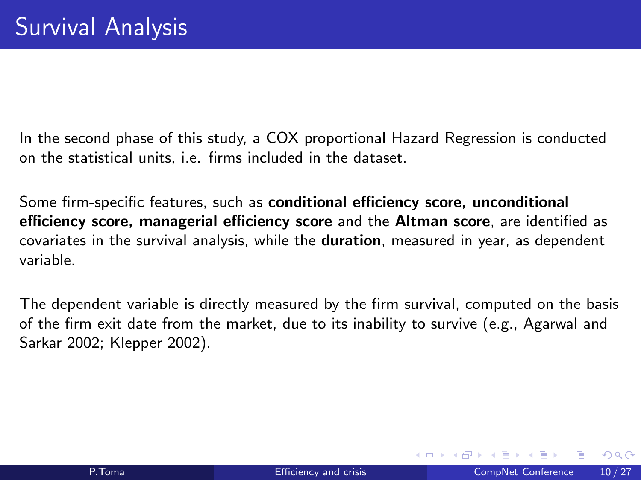In the second phase of this study, a COX proportional Hazard Regression is conducted on the statistical units, i.e. firms included in the dataset.

Some firm-specific features, such as conditional efficiency score, unconditional efficiency score, managerial efficiency score and the Altman score, are identified as covariates in the survival analysis, while the duration, measured in year, as dependent variable.

The dependent variable is directly measured by the firm survival, computed on the basis of the firm exit date from the market, due to its inability to survive (e.g., Agarwal and Sarkar 2002; Klepper 2002).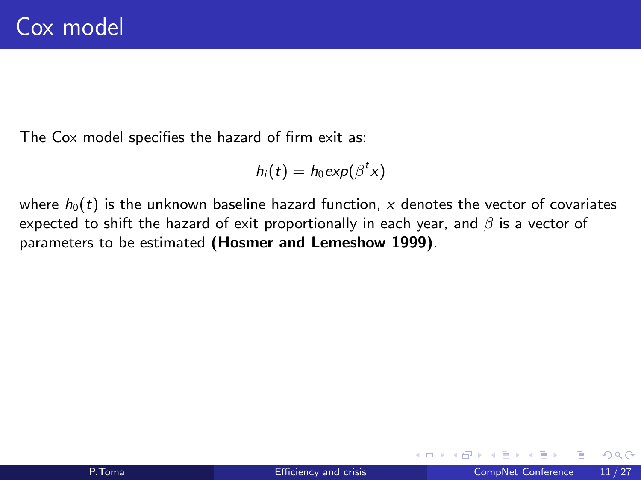The Cox model specifies the hazard of firm exit as:

$$
h_i(t) = h_0 \exp(\beta^t x)
$$

where  $h_0(t)$  is the unknown baseline hazard function, x denotes the vector of covariates expected to shift the hazard of exit proportionally in each year, and  $\beta$  is a vector of parameters to be estimated (Hosmer and Lemeshow 1999).

◂**◻▸ ◂◚▸**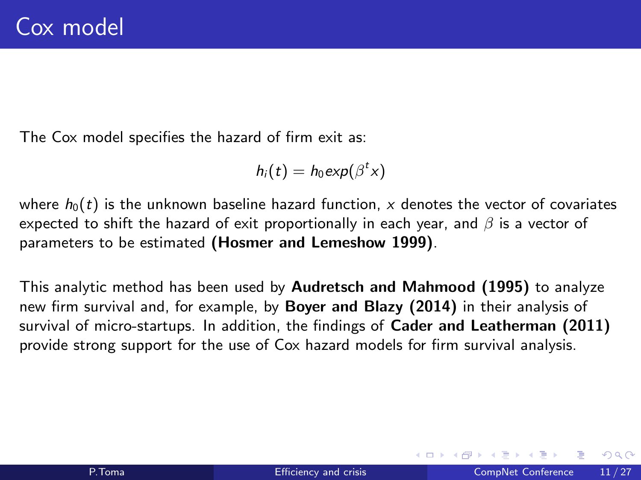The Cox model specifies the hazard of firm exit as:

$$
h_i(t) = h_0 \exp(\beta^t x)
$$

where  $h_0(t)$  is the unknown baseline hazard function, x denotes the vector of covariates expected to shift the hazard of exit proportionally in each year, and  $\beta$  is a vector of parameters to be estimated (Hosmer and Lemeshow 1999).

This analytic method has been used by Audretsch and Mahmood (1995) to analyze new firm survival and, for example, by Boyer and Blazy (2014) in their analysis of survival of micro-startups. In addition, the findings of Cader and Leatherman (2011) provide strong support for the use of Cox hazard models for firm survival analysis.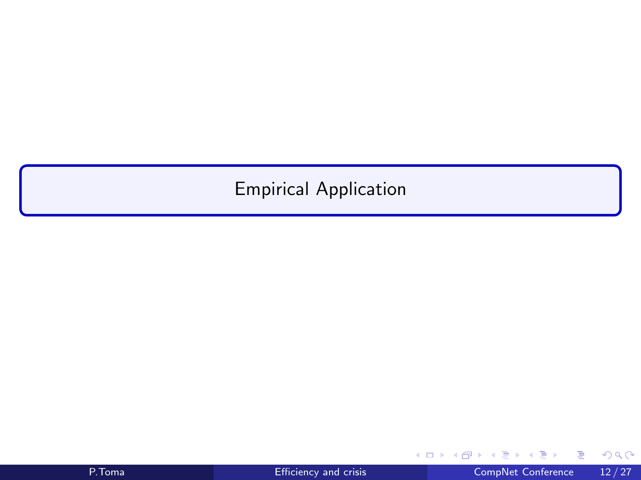#### <span id="page-16-0"></span>Empirical Application

重

 $299$ 

イロト イ部 トイモ トイモト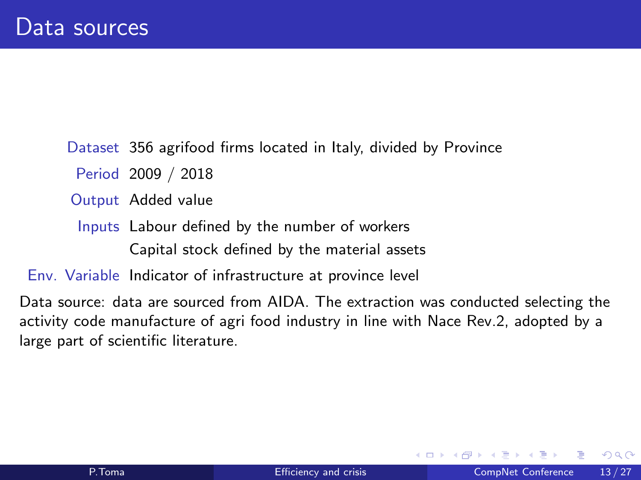Dataset 356 agrifood firms located in Italy, divided by Province

Period 2009 / 2018

Output Added value

Inputs Labour defined by the number of workers Capital stock defined by the material assets

Env. Variable Indicator of infrastructure at province level

Data source: data are sourced from AIDA. The extraction was conducted selecting the activity code manufacture of agri food industry in line with Nace Rev.2, adopted by a large part of scientific literature.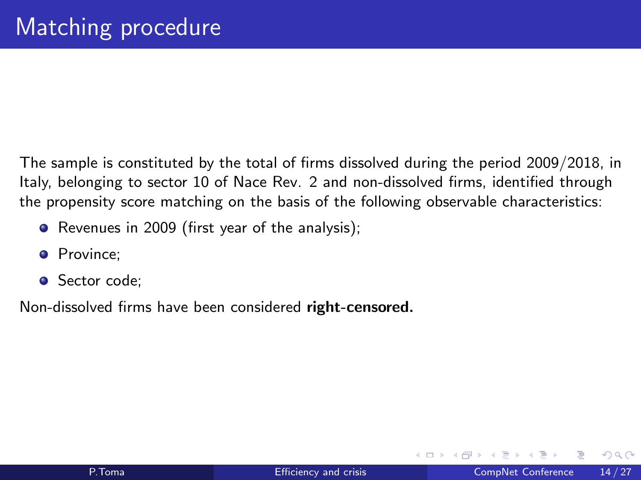The sample is constituted by the total of firms dissolved during the period 2009/2018, in Italy, belonging to sector 10 of Nace Rev. 2 and non-dissolved firms, identified through the propensity score matching on the basis of the following observable characteristics:

- Revenues in 2009 (first year of the analysis);
- **•** Province:
- **•** Sector code:

Non-dissolved firms have been considered right-censored.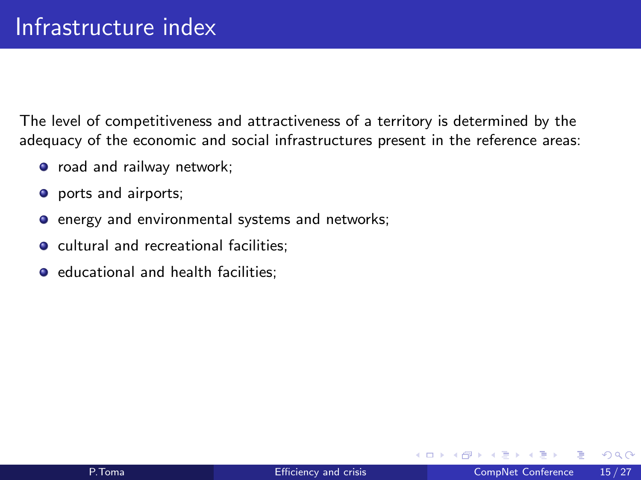The level of competitiveness and attractiveness of a territory is determined by the adequacy of the economic and social infrastructures present in the reference areas:

- o road and railway network;
- **o** ports and airports;
- **•** energy and environmental systems and networks;
- **o** cultural and recreational facilities;
- **•** educational and health facilities;

4 D F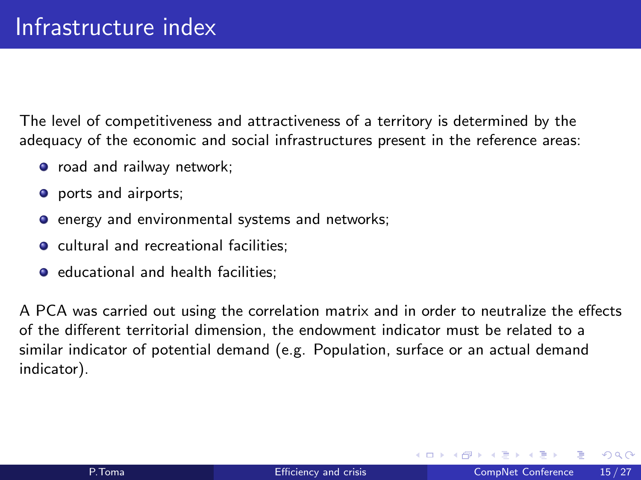The level of competitiveness and attractiveness of a territory is determined by the adequacy of the economic and social infrastructures present in the reference areas:

- o road and railway network;
- **o** ports and airports;
- **•** energy and environmental systems and networks;
- **o** cultural and recreational facilities;
- **•** educational and health facilities;

A PCA was carried out using the correlation matrix and in order to neutralize the effects of the different territorial dimension, the endowment indicator must be related to a similar indicator of potential demand (e.g. Population, surface or an actual demand indicator).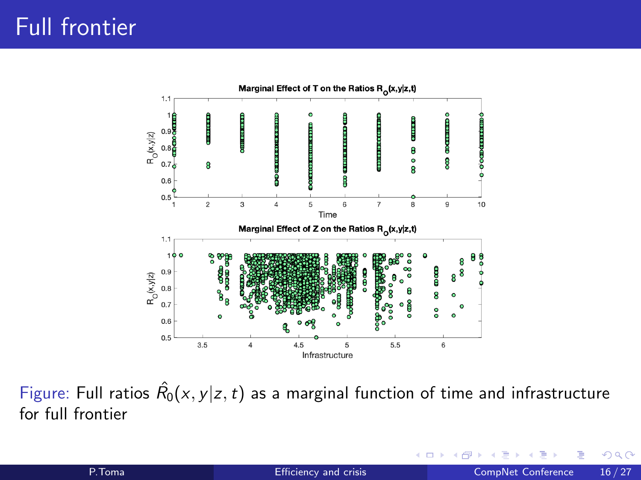

Figure: Full ratios  $\hat{R_0}(x,y|z,t)$  as a marginal function of time and infrastructure for full frontier

4 D F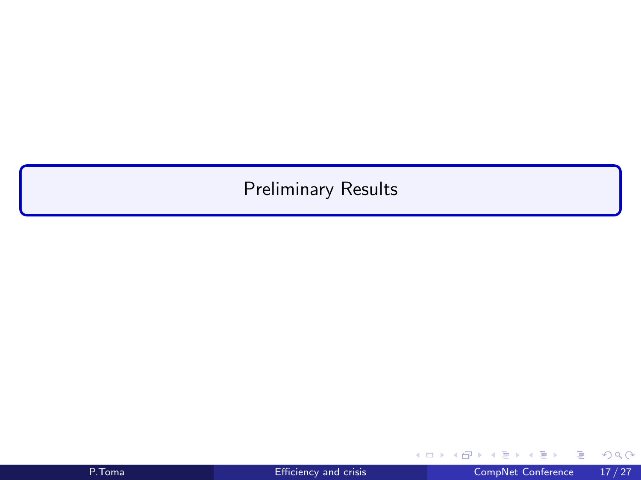#### <span id="page-22-0"></span>Preliminary Results

重

 $2990$ 

イロト イ部 トイモ トイモト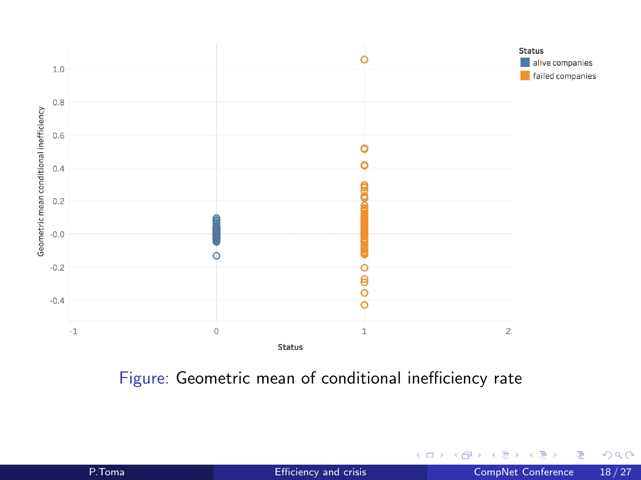

Figure: Geometric mean of conditional inefficiency rate

 $\mathcal{A}$ 重 P. Toma **[Efficiency and crisis](#page-0-0)** CompNet Conference 18/27

J.

Þ  $\mathbf{p}$ 

K.

**← ロ → → ← 何 →** 

É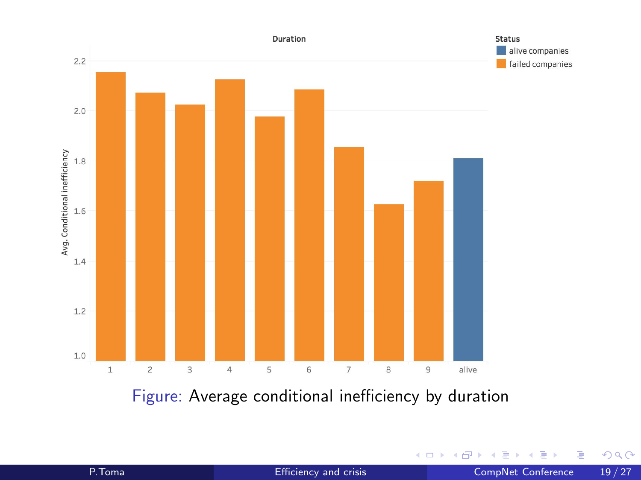

Figure: Average conditional inefficiency by duration

×

**∢ ロ ▶ ィ 伊** 

É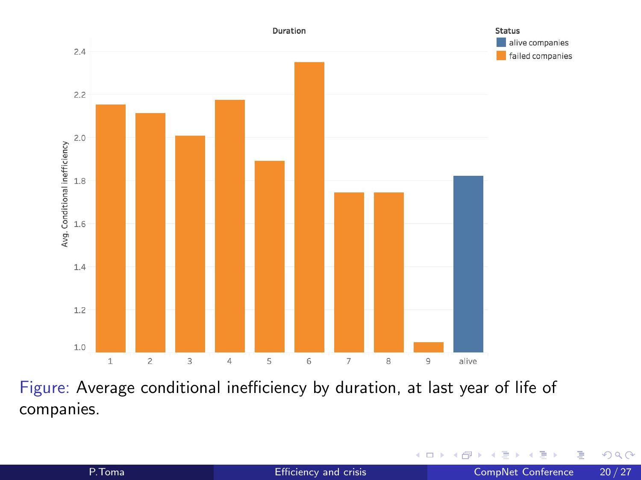

Figure: Average conditional inefficiency by duration, at last year of life of companies.

э

4 ロ ▶ (母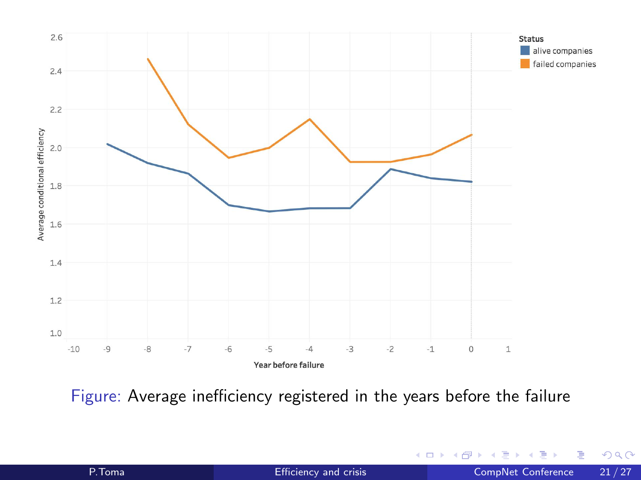

Figure: Average inefficiency registered in the years before the failure

Þ P. Toma **[Efficiency and crisis](#page-0-0)** CompNet Conference 21/27

Þ

41  $\sim$ 

**← ロ → → ← 何 →** 

÷,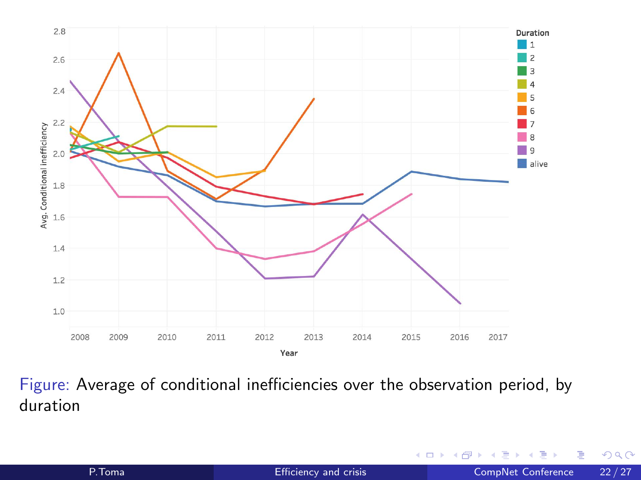

Figure: Average of conditional inefficiencies over the observation period, by duration

4 0 F ∢母 э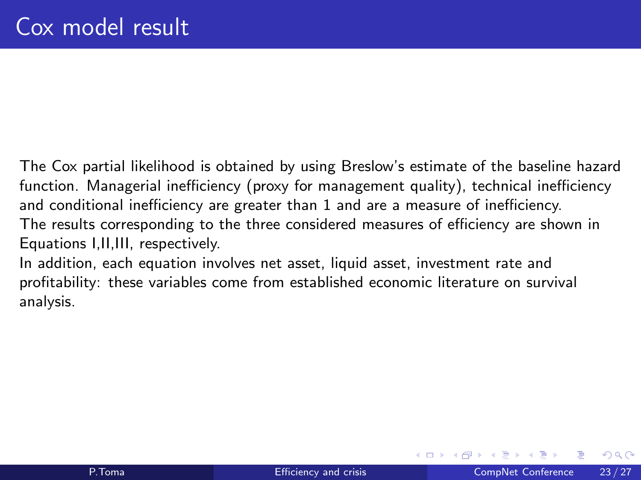The Cox partial likelihood is obtained by using Breslow's estimate of the baseline hazard function. Managerial inefficiency (proxy for management quality), technical inefficiency and conditional inefficiency are greater than 1 and are a measure of inefficiency. The results corresponding to the three considered measures of efficiency are shown in Equations I,II,III, respectively.

In addition, each equation involves net asset, liquid asset, investment rate and profitability: these variables come from established economic literature on survival analysis.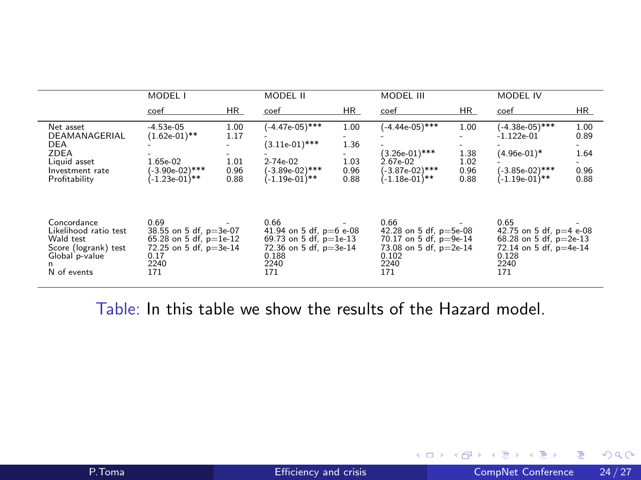|                                                                                                                 | MODEL I                                                                                                       |                                      | MODEL II                                                                                                            |                                      | MODEL III                                                                                                      |                                      | MODEL IV                                                                                                        |                                             |
|-----------------------------------------------------------------------------------------------------------------|---------------------------------------------------------------------------------------------------------------|--------------------------------------|---------------------------------------------------------------------------------------------------------------------|--------------------------------------|----------------------------------------------------------------------------------------------------------------|--------------------------------------|-----------------------------------------------------------------------------------------------------------------|---------------------------------------------|
|                                                                                                                 | coef                                                                                                          | HR.                                  | coef                                                                                                                | HR.                                  | coef                                                                                                           | HR.                                  | coef                                                                                                            | HR.                                         |
| Net asset<br>DEAMANAGERIAL<br>DEA<br>ZDEA<br>Liquid asset<br>Investment rate<br>Profitability                   | $-4.53e-05$<br>$(1.62e-01)$ **<br>1.65e-02<br>$(-3.90e-02)$ ***<br>(-1.23e-01)**                              | 1.00<br>1.17<br>1.01<br>0.96<br>0.88 | (-4.47e-05)***<br>$(3.11e-01)$ ***<br>$2 - 74e - 02$<br>$(-3.89e-02)$ ***<br>$(-1.19e-01)**$                        | 1.00<br>1.36<br>1.03<br>0.96<br>0.88 | $(-4.44e-05)$ ***<br>$(3.26e-01)$ ***<br>2.67e-02<br>$(-3.87e-02)$ ***<br>$(-1.18e-01)**$                      | 1.00<br>1.38<br>1.02<br>0.96<br>0.88 | (-4.38e-05)***<br>$-1.122e-01$<br>$(4.96e-01)^*$<br>(-3.85e-02)***<br>$(-1.19e-01)$ **                          | 1.00<br>0.89<br>1.64<br>. .<br>0.96<br>0.88 |
| Concordance<br>Likelihood ratio test<br>Wald test<br>Score (logrank) test<br>Global p-value<br>n<br>N of events | 0.69<br>38.55 on 5 df, $p=3e-07$<br>65.28 on 5 df, $p=1e-12$<br>72.25 on 5 df, p=3e-14<br>0.17<br>2240<br>171 |                                      | 0.66<br>41.94 on 5 df, $p=6$ e-08<br>69.73 on 5 df, $p=1e-13$<br>$72.36$ on 5 df, $p=3e-14$<br>0.188<br>2240<br>171 |                                      | 0.66<br>42.28 on 5 df, $p=5e-08$<br>70.17 on 5 df, $p=9e-14$<br>73.08 on 5 df, p=2e-14<br>0.102<br>2240<br>171 |                                      | 0.65<br>42.75 on 5 df, $p=4$ e-08<br>68.28 on 5 df, $p=2e-13$<br>72.14 on 5 df, p=4e-14<br>0.128<br>2240<br>171 |                                             |

Table: In this table we show the results of the Hazard model.

一 4 (国)

٠  $\sim$ 

**K ロ ▶ K 何 ▶** 

重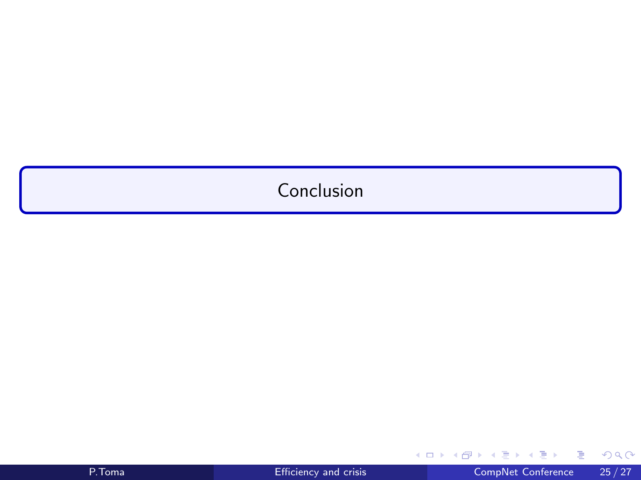#### <span id="page-30-0"></span>Conclusion

Ε

 $299$ 

イロト イ部 トイヨ トイヨト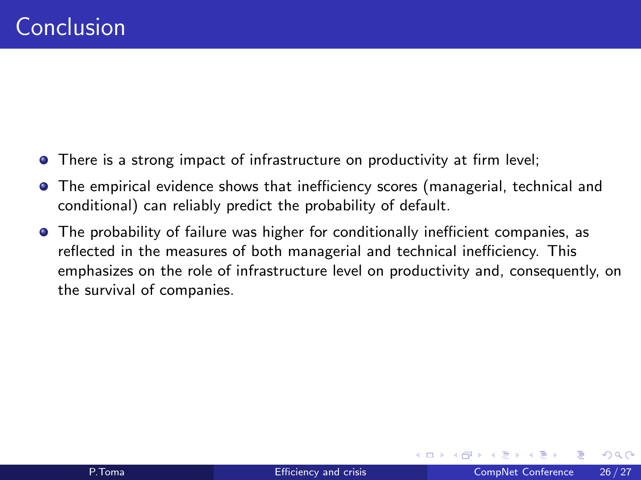- There is a strong impact of infrastructure on productivity at firm level;
- The empirical evidence shows that inefficiency scores (managerial, technical and conditional) can reliably predict the probability of default.
- The probability of failure was higher for conditionally inefficient companies, as reflected in the measures of both managerial and technical inefficiency. This emphasizes on the role of infrastructure level on productivity and, consequently, on the survival of companies.